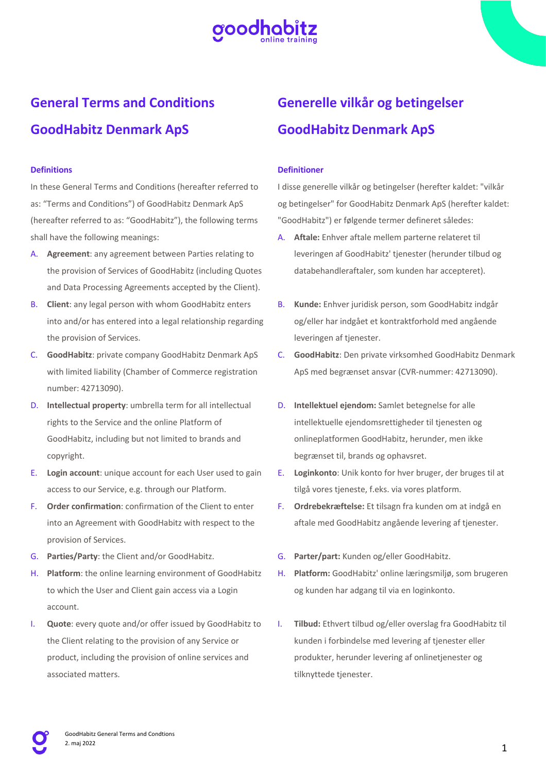

# **General Terms and Conditions GoodHabitz Denmark ApS**

# **Definitions**

In these General Terms and Conditions (hereafter referred to as: "Terms and Conditions") of GoodHabitz Denmark ApS (hereafter referred to as: "GoodHabitz"), the following terms shall have the following meanings:

- A. **Agreement**: any agreement between Parties relating to the provision of Services of GoodHabitz (including Quotes and Data Processing Agreements accepted by the Client).
- B. **Client**: any legal person with whom GoodHabitz enters into and/or has entered into a legal relationship regarding the provision of Services.
- C. **GoodHabitz**: private company GoodHabitz Denmark ApS with limited liability (Chamber of Commerce registration number: 42713090).
- D. **Intellectual property**: umbrella term for all intellectual rights to the Service and the online Platform of GoodHabitz, including but not limited to brands and copyright.
- E. **Login account**: unique account for each User used to gain access to our Service, e.g. through our Platform.
- F. **Order confirmation**: confirmation of the Client to enter into an Agreement with GoodHabitz with respect to the provision of Services.
- G. **Parties/Party**: the Client and/or GoodHabitz.
- H. **Platform**: the online learning environment of GoodHabitz to which the User and Client gain access via a Login account.
- I. **Quote**: every quote and/or offer issued by GoodHabitz to the Client relating to the provision of any Service or product, including the provision of online services and associated matters.

# **Generelle vilkår og betingelser GoodHabitz Denmark ApS**

### **Definitioner**

I disse generelle vilkår og betingelser (herefter kaldet: "vilkår og betingelser" for GoodHabitz Denmark ApS (herefter kaldet: "GoodHabitz") er følgende termer defineret således:

- A. **Aftale:** Enhver aftale mellem parterne relateret til leveringen af GoodHabitz' tjenester (herunder tilbud og databehandleraftaler, som kunden har accepteret).
- B. **Kunde:** Enhver juridisk person, som GoodHabitz indgår og/eller har indgået et kontraktforhold med angående leveringen af tjenester.
- C. **GoodHabitz**: Den private virksomhed GoodHabitz Denmark ApS med begrænset ansvar (CVR-nummer: 42713090).
- D. **Intellektuel ejendom:** Samlet betegnelse for alle intellektuelle ejendomsrettigheder til tjenesten og onlineplatformen GoodHabitz, herunder, men ikke begrænset til, brands og ophavsret.
- E. **Loginkonto**: Unik konto for hver bruger, der bruges til at tilgå vores tieneste, f.eks. via vores platform.
- F. **Ordrebekræftelse:** Et tilsagn fra kunden om at indgå en aftale med GoodHabitz angående levering af tjenester.
- G. **Parter/part:** Kunden og/eller GoodHabitz.
- H. **Platform:** GoodHabitz' online læringsmiljø, som brugeren og kunden har adgang til via en loginkonto.
- I. **Tilbud:** Ethvert tilbud og/eller overslag fra GoodHabitz til kunden i forbindelse med levering af tjenester eller produkter, herunder levering af onlinetjenester og tilknyttede tjenester.

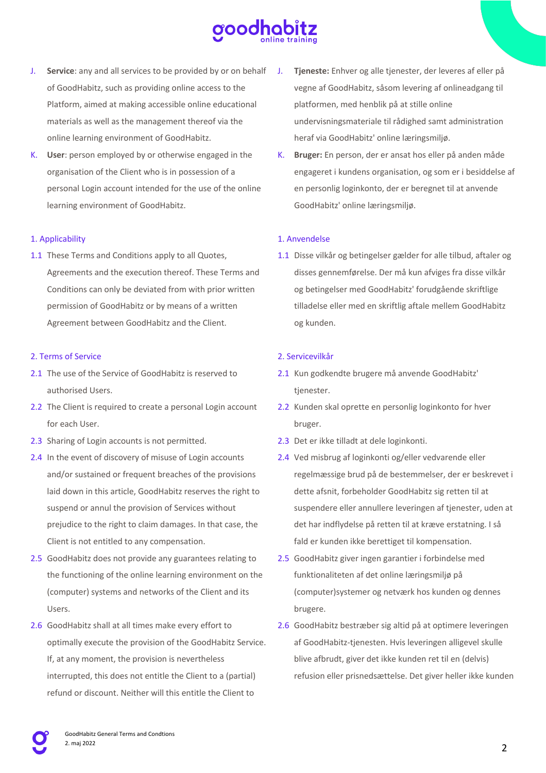

- J. **Service**: any and all services to be provided by or on behalf of GoodHabitz, such as providing online access to the Platform, aimed at making accessible online educational materials as well as the management thereof via the online learning environment of GoodHabitz.
- K. **User**: person employed by or otherwise engaged in the organisation of the Client who is in possession of a personal Login account intended for the use of the online learning environment of GoodHabitz.

### 1. Applicability

1.1 These Terms and Conditions apply to all Quotes, Agreements and the execution thereof. These Terms and Conditions can only be deviated from with prior written permission of GoodHabitz or by means of a written Agreement between GoodHabitz and the Client.

## 2. Terms of Service

- 2.1 The use of the Service of GoodHabitz is reserved to authorised Users.
- 2.2 The Client is required to create a personal Login account for each User.
- 2.3 Sharing of Login accounts is not permitted.
- 2.4 In the event of discovery of misuse of Login accounts and/or sustained or frequent breaches of the provisions laid down in this article, GoodHabitz reserves the right to suspend or annul the provision of Services without prejudice to the right to claim damages. In that case, the Client is not entitled to any compensation.
- 2.5 GoodHabitz does not provide any guarantees relating to the functioning of the online learning environment on the (computer) systems and networks of the Client and its Users.
- 2.6 GoodHabitz shall at all times make every effort to optimally execute the provision of the GoodHabitz Service. If, at any moment, the provision is nevertheless interrupted, this does not entitle the Client to a (partial) refund or discount. Neither will this entitle the Client to
- Tjeneste: Enhver og alle tjenester, der leveres af eller på vegne af GoodHabitz, såsom levering af onlineadgang til platformen, med henblik på at stille online undervisningsmateriale til rådighed samt administration heraf via GoodHabitz' online læringsmiljø.
- K. **Bruger:** En person, der er ansat hos eller på anden måde engageret i kundens organisation, og som er i besiddelse af en personlig loginkonto, der er beregnet til at anvende GoodHabitz' online læringsmiljø.

# 1. Anvendelse

1.1 Disse vilkår og betingelser gælder for alle tilbud, aftaler og disses gennemførelse. Der må kun afviges fra disse vilkår og betingelser med GoodHabitz' forudgående skriftlige tilladelse eller med en skriftlig aftale mellem GoodHabitz og kunden.

# 2. Servicevilkår

- 2.1 Kun godkendte brugere må anvende GoodHabitz' tienester.
- 2.2 Kunden skal oprette en personlig loginkonto for hver bruger.
- 2.3 Det er ikke tilladt at dele loginkonti.
- 2.4 Ved misbrug af loginkonti og/eller vedvarende eller regelmæssige brud på de bestemmelser, der er beskrevet i dette afsnit, forbeholder GoodHabitz sig retten til at suspendere eller annullere leveringen af tjenester, uden at det har indflydelse på retten til at kræve erstatning. I så fald er kunden ikke berettiget til kompensation.
- 2.5 GoodHabitz giver ingen garantier i forbindelse med funktionaliteten af det online læringsmiljø på (computer)systemer og netværk hos kunden og dennes brugere.
- 2.6 GoodHabitz bestræber sig altid på at optimere leveringen af GoodHabitz-tjenesten. Hvis leveringen alligevel skulle blive afbrudt, giver det ikke kunden ret til en (delvis) refusion eller prisnedsættelse. Det giver heller ikke kunden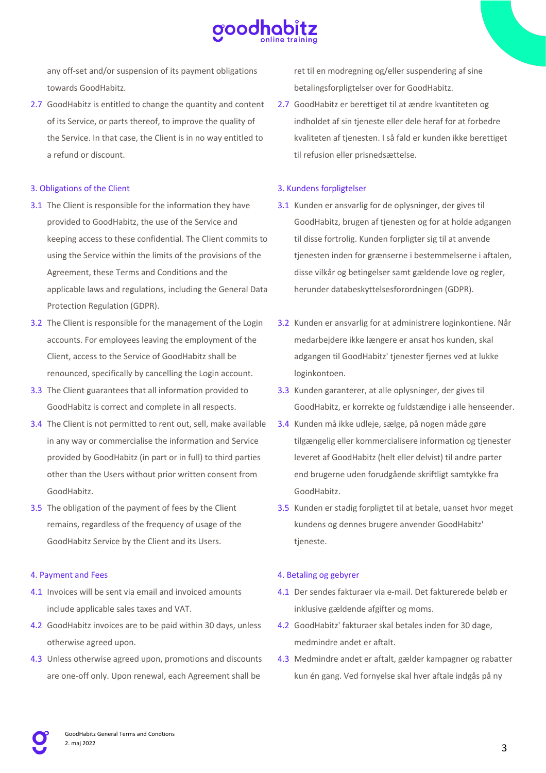

any off-set and/or suspension of its payment obligations towards GoodHabitz.

2.7 GoodHabitz is entitled to change the quantity and content of its Service, or parts thereof, to improve the quality of the Service. In that case, the Client is in no way entitled to a refund or discount.

### 3. Obligations of the Client

- 3.1 The Client is responsible for the information they have provided to GoodHabitz, the use of the Service and keeping access to these confidential. The Client commits to using the Service within the limits of the provisions of the Agreement, these Terms and Conditions and the applicable laws and regulations, including the General Data Protection Regulation (GDPR).
- 3.2 The Client is responsible for the management of the Login accounts. For employees leaving the employment of the Client, access to the Service of GoodHabitz shall be renounced, specifically by cancelling the Login account.
- 3.3 The Client guarantees that all information provided to GoodHabitz is correct and complete in all respects.
- 3.4 The Client is not permitted to rent out, sell, make available in any way or commercialise the information and Service provided by GoodHabitz (in part or in full) to third parties other than the Users without prior written consent from GoodHabitz.
- 3.5 The obligation of the payment of fees by the Client remains, regardless of the frequency of usage of the GoodHabitz Service by the Client and its Users.

#### 4. Payment and Fees

- 4.1 Invoices will be sent via email and invoiced amounts include applicable sales taxes and VAT.
- 4.2 GoodHabitz invoices are to be paid within 30 days, unless otherwise agreed upon.
- 4.3 Unless otherwise agreed upon, promotions and discounts are one-off only. Upon renewal, each Agreement shall be

ret til en modregning og/eller suspendering af sine betalingsforpligtelser over for GoodHabitz.

2.7 GoodHabitz er berettiget til at ændre kvantiteten og indholdet af sin tjeneste eller dele heraf for at forbedre kvaliteten af tjenesten. I så fald er kunden ikke berettiget til refusion eller prisnedsættelse.

## 3. Kundens forpligtelser

- 3.1 Kunden er ansvarlig for de oplysninger, der gives til GoodHabitz, brugen af tjenesten og for at holde adgangen til disse fortrolig. Kunden forpligter sig til at anvende tjenesten inden for grænserne i bestemmelserne i aftalen, disse vilkår og betingelser samt gældende love og regler, herunder databeskyttelsesforordningen (GDPR).
- 3.2 Kunden er ansvarlig for at administrere loginkontiene. Når medarbejdere ikke længere er ansat hos kunden, skal adgangen til GoodHabitz' tjenester fjernes ved at lukke loginkontoen.
- 3.3 Kunden garanterer, at alle oplysninger, der gives til GoodHabitz, er korrekte og fuldstændige i alle henseender.
- 3.4 Kunden må ikke udleje, sælge, på nogen måde gøre tilgængelig eller kommercialisere information og tjenester leveret af GoodHabitz (helt eller delvist) til andre parter end brugerne uden forudgående skriftligt samtykke fra GoodHabitz.
- 3.5 Kunden er stadig forpligtet til at betale, uanset hvor meget kundens og dennes brugere anvender GoodHabitz' tieneste.

## 4. Betaling og gebyrer

- 4.1 Der sendes fakturaer via e-mail. Det fakturerede beløb er inklusive gældende afgifter og moms.
- 4.2 GoodHabitz' fakturaer skal betales inden for 30 dage, medmindre andet er aftalt.
- 4.3 Medmindre andet er aftalt, gælder kampagner og rabatter kun én gang. Ved fornyelse skal hver aftale indgås på ny

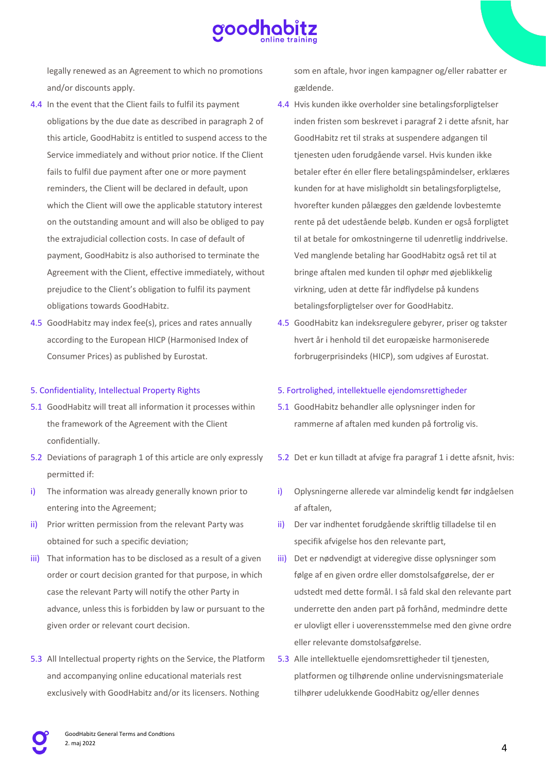

legally renewed as an Agreement to which no promotions and/or discounts apply.

- 4.4 In the event that the Client fails to fulfil its payment obligations by the due date as described in paragraph 2 of this article, GoodHabitz is entitled to suspend access to the Service immediately and without prior notice. If the Client fails to fulfil due payment after one or more payment reminders, the Client will be declared in default, upon which the Client will owe the applicable statutory interest on the outstanding amount and will also be obliged to pay the extrajudicial collection costs. In case of default of payment, GoodHabitz is also authorised to terminate the Agreement with the Client, effective immediately, without prejudice to the Client's obligation to fulfil its payment obligations towards GoodHabitz.
- 4.5 GoodHabitz may index fee(s), prices and rates annually according to the European HICP (Harmonised Index of Consumer Prices) as published by Eurostat.

# 5. Confidentiality, Intellectual Property Rights

- 5.1 GoodHabitz will treat all information it processes within the framework of the Agreement with the Client confidentially.
- 5.2 Deviations of paragraph 1 of this article are only expressly permitted if:
- i) The information was already generally known prior to entering into the Agreement;
- ii) Prior written permission from the relevant Party was obtained for such a specific deviation;
- iii) That information has to be disclosed as a result of a given order or court decision granted for that purpose, in which case the relevant Party will notify the other Party in advance, unless this is forbidden by law or pursuant to the given order or relevant court decision.
- 5.3 All Intellectual property rights on the Service, the Platform and accompanying online educational materials rest exclusively with GoodHabitz and/or its licensers. Nothing

som en aftale, hvor ingen kampagner og/eller rabatter er gældende.

- 4.4 Hvis kunden ikke overholder sine betalingsforpligtelser inden fristen som beskrevet i paragraf 2 i dette afsnit, har GoodHabitz ret til straks at suspendere adgangen til tjenesten uden forudgående varsel. Hvis kunden ikke betaler efter én eller flere betalingspåmindelser, erklæres kunden for at have misligholdt sin betalingsforpligtelse, hvorefter kunden pålægges den gældende lovbestemte rente på det udestående beløb. Kunden er også forpligtet til at betale for omkostningerne til udenretlig inddrivelse. Ved manglende betaling har GoodHabitz også ret til at bringe aftalen med kunden til ophør med øjeblikkelig virkning, uden at dette får indflydelse på kundens betalingsforpligtelser over for GoodHabitz.
- 4.5 GoodHabitz kan indeksregulere gebyrer, priser og takster hvert år i henhold til det europæiske harmoniserede forbrugerprisindeks (HICP), som udgives af Eurostat.

#### 5. Fortrolighed, intellektuelle ejendomsrettigheder

- 5.1 GoodHabitz behandler alle oplysninger inden for rammerne af aftalen med kunden på fortrolig vis.
- 5.2 Det er kun tilladt at afvige fra paragraf 1 i dette afsnit, hvis:
- i) Oplysningerne allerede var almindelig kendt før indgåelsen af aftalen,
- ii) Der var indhentet forudgående skriftlig tilladelse til en specifik afvigelse hos den relevante part,
- iii) Det er nødvendigt at videregive disse oplysninger som følge af en given ordre eller domstolsafgørelse, der er udstedt med dette formål. I så fald skal den relevante part underrette den anden part på forhånd, medmindre dette er ulovligt eller i uoverensstemmelse med den givne ordre eller relevante domstolsafgørelse.
- 5.3 Alle intellektuelle ejendomsrettigheder til tjenesten, platformen og tilhørende online undervisningsmateriale tilhører udelukkende GoodHabitz og/eller dennes

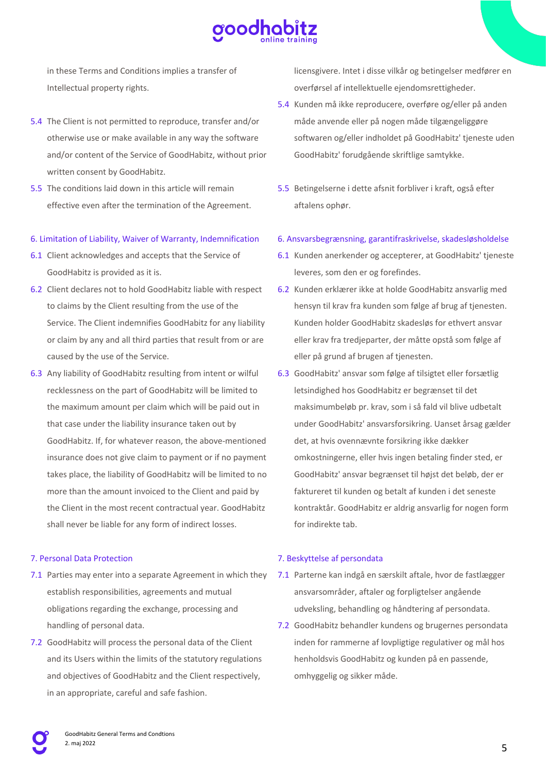

in these Terms and Conditions implies a transfer of Intellectual property rights.

- 5.4 The Client is not permitted to reproduce, transfer and/or otherwise use or make available in any way the software and/or content of the Service of GoodHabitz, without prior written consent by GoodHabitz.
- 5.5 The conditions laid down in this article will remain effective even after the termination of the Agreement.

### 6. Limitation of Liability, Waiver of Warranty, Indemnification

- 6.1 Client acknowledges and accepts that the Service of GoodHabitz is provided as it is.
- 6.2 Client declares not to hold GoodHabitz liable with respect to claims by the Client resulting from the use of the Service. The Client indemnifies GoodHabitz for any liability or claim by any and all third parties that result from or are caused by the use of the Service.
- 6.3 Any liability of GoodHabitz resulting from intent or wilful recklessness on the part of GoodHabitz will be limited to the maximum amount per claim which will be paid out in that case under the liability insurance taken out by GoodHabitz. If, for whatever reason, the above-mentioned insurance does not give claim to payment or if no payment takes place, the liability of GoodHabitz will be limited to no more than the amount invoiced to the Client and paid by the Client in the most recent contractual year. GoodHabitz shall never be liable for any form of indirect losses.

## 7. Personal Data Protection

- 7.1 Parties may enter into a separate Agreement in which they establish responsibilities, agreements and mutual obligations regarding the exchange, processing and handling of personal data.
- 7.2 GoodHabitz will process the personal data of the Client and its Users within the limits of the statutory regulations and objectives of GoodHabitz and the Client respectively, in an appropriate, careful and safe fashion.

licensgivere. Intet i disse vilkår og betingelser medfører en overførsel af intellektuelle ejendomsrettigheder.

- 5.4 Kunden må ikke reproducere, overføre og/eller på anden måde anvende eller på nogen måde tilgængeliggøre softwaren og/eller indholdet på GoodHabitz' tjeneste uden GoodHabitz' forudgående skriftlige samtykke.
- 5.5 Betingelserne i dette afsnit forbliver i kraft, også efter aftalens ophør.

### 6. Ansvarsbegrænsning, garantifraskrivelse, skadesløsholdelse

- 6.1 Kunden anerkender og accepterer, at GoodHabitz' tjeneste leveres, som den er og forefindes.
- 6.2 Kunden erklærer ikke at holde GoodHabitz ansvarlig med hensyn til krav fra kunden som følge af brug af tjenesten. Kunden holder GoodHabitz skadesløs for ethvert ansvar eller krav fra tredjeparter, der måtte opstå som følge af eller på grund af brugen af tjenesten.
- 6.3 GoodHabitz' ansvar som følge af tilsigtet eller forsætlig letsindighed hos GoodHabitz er begrænset til det maksimumbeløb pr. krav, som i så fald vil blive udbetalt under GoodHabitz' ansvarsforsikring. Uanset årsag gælder det, at hvis ovennævnte forsikring ikke dækker omkostningerne, eller hvis ingen betaling finder sted, er GoodHabitz' ansvar begrænset til højst det beløb, der er faktureret til kunden og betalt af kunden i det seneste kontraktår. GoodHabitz er aldrig ansvarlig for nogen form for indirekte tab.

## 7. Beskyttelse af persondata

- 7.1 Parterne kan indgå en særskilt aftale, hvor de fastlægger ansvarsområder, aftaler og forpligtelser angående udveksling, behandling og håndtering af persondata.
- 7.2 GoodHabitz behandler kundens og brugernes persondata inden for rammerne af lovpligtige regulativer og mål hos henholdsvis GoodHabitz og kunden på en passende, omhyggelig og sikker måde.

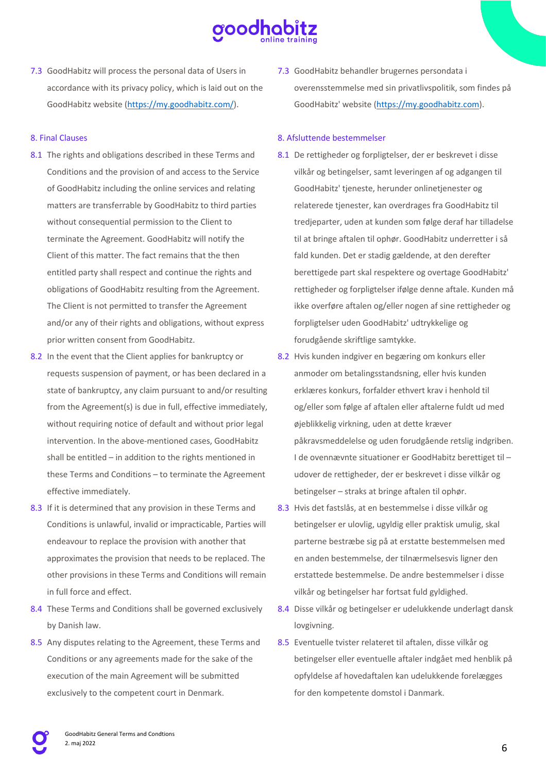

7.3 GoodHabitz will process the personal data of Users in accordance with its privacy policy, which is laid out on the GoodHabitz website (https://my.goodhabitz.com/).

# 8. Final Clauses

- 8.1 The rights and obligations described in these Terms and Conditions and the provision of and access to the Service of GoodHabitz including the online services and relating matters are transferrable by GoodHabitz to third parties without consequential permission to the Client to terminate the Agreement. GoodHabitz will notify the Client of this matter. The fact remains that the then entitled party shall respect and continue the rights and obligations of GoodHabitz resulting from the Agreement. The Client is not permitted to transfer the Agreement and/or any of their rights and obligations, without express prior written consent from GoodHabitz.
- 8.2 In the event that the Client applies for bankruptcy or requests suspension of payment, or has been declared in a state of bankruptcy, any claim pursuant to and/or resulting from the Agreement(s) is due in full, effective immediately, without requiring notice of default and without prior legal intervention. In the above-mentioned cases, GoodHabitz shall be entitled – in addition to the rights mentioned in these Terms and Conditions – to terminate the Agreement effective immediately.
- 8.3 If it is determined that any provision in these Terms and Conditions is unlawful, invalid or impracticable, Parties will endeavour to replace the provision with another that approximates the provision that needs to be replaced. The other provisions in these Terms and Conditions will remain in full force and effect.
- 8.4 These Terms and Conditions shall be governed exclusively by Danish law.
- 8.5 Any disputes relating to the Agreement, these Terms and Conditions or any agreements made for the sake of the execution of the main Agreement will be submitted exclusively to the competent court in Denmark.

7.3 GoodHabitz behandler brugernes persondata i overensstemmelse med sin privatlivspolitik, som findes på GoodHabitz' website (https://my.goodhabitz.com).

## 8. Afsluttende bestemmelser

- 8.1 De rettigheder og forpligtelser, der er beskrevet i disse vilkår og betingelser, samt leveringen af og adgangen til GoodHabitz' tjeneste, herunder onlinetjenester og relaterede tjenester, kan overdrages fra GoodHabitz til tredjeparter, uden at kunden som følge deraf har tilladelse til at bringe aftalen til ophør. GoodHabitz underretter i så fald kunden. Det er stadig gældende, at den derefter berettigede part skal respektere og overtage GoodHabitz' rettigheder og forpligtelser ifølge denne aftale. Kunden må ikke overføre aftalen og/eller nogen af sine rettigheder og forpligtelser uden GoodHabitz' udtrykkelige og forudgående skriftlige samtykke.
- 8.2 Hvis kunden indgiver en begæring om konkurs eller anmoder om betalingsstandsning, eller hvis kunden erklæres konkurs, forfalder ethvert krav i henhold til og/eller som følge af aftalen eller aftalerne fuldt ud med øjeblikkelig virkning, uden at dette kræver påkravsmeddelelse og uden forudgående retslig indgriben. I de ovennævnte situationer er GoodHabitz berettiget til – udover de rettigheder, der er beskrevet i disse vilkår og betingelser – straks at bringe aftalen til ophør.
- 8.3 Hvis det fastslås, at en bestemmelse i disse vilkår og betingelser er ulovlig, ugyldig eller praktisk umulig, skal parterne bestræbe sig på at erstatte bestemmelsen med en anden bestemmelse, der tilnærmelsesvis ligner den erstattede bestemmelse. De andre bestemmelser i disse vilkår og betingelser har fortsat fuld gyldighed.
- 8.4 Disse vilkår og betingelser er udelukkende underlagt dansk lovgivning.
- 8.5 Eventuelle tvister relateret til aftalen, disse vilkår og betingelser eller eventuelle aftaler indgået med henblik på opfyldelse af hovedaftalen kan udelukkende forelægges for den kompetente domstol i Danmark.